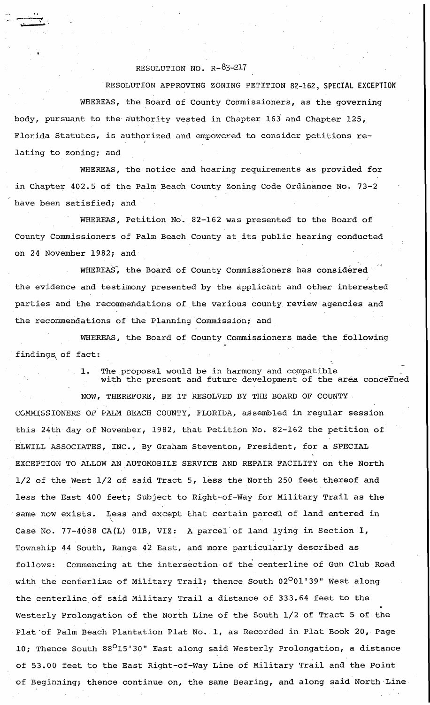## RESOLUTION NO. R-83-217

RESOLUTION APPROVING ZONING PETITION 82-162, SPECIAL EXCEPTION WHEREAS, the Board of County Commissioners, as the governing body, pursuant to the authority vested in Chapter 163 and Chapter 125, Florida Statutes, is authqrized and empowered to consider petitions relating to zoning; and

WHEREAS, the notice and hearing requirements as provided for in Chapter 402.5 of the Palm Beach County Zoning Code Ordinance No. 73-2 have been satisfied; and

WHEREAS, Petition No. 82-162 was presented to the Board of County Commissioners of Palm Beach County at its public hearing conducted on 24 November 1982; and

WHEREAS, the Board of County Commissioners has considered the evidence and testimony presented by the applicant and other interested parties and the recommendations of the various county review agencies and the recommendations of the Planning Commission; and

WHEREAS, the Board of County Commissioners made the following findings of fact:

> 1. The proposal would be in harmony and compatible with the present and future development of the area concerned

NOW, THEREFORE, BE IT RESOLVED BY THE BOARD OF COUNTY COMMISSIONERS OF PALM BEACH COUNTY, FLORIDA, assembled in regular session this 24th day of November, 1982, that Petition No. 82-162 the petition of ELWILL ASSOCIATES, INC., By Graham Steventon, President, for a.SPECIAL EXCEPTION TO ALLOW AN AUTOMOBILE SERVICE AND REPAIR FACILITY on the North 1/2 of the West 1/2 of said Tract 5, less the North 250 feet thereof and less the East 400 feet; Subject to Ri'ght-of-Way for Military Trail as the same now exists. Less and except that certain parcel of land entered in "- Case No. 77-4088 CA(L} OIB, VIZ: A parcel of land lying in Section 1, Township 44 South, Range 42 East, and more particularly described as follows: Commencing at the intersection of the centerline of Gun Club Road with the centerline of Military Trail; thence South 02<sup>0</sup>01'39" West along the centerline of said Military Trail a distance of 333.64 feet to the Westerly Prolongation of the North Line of the South 1/2 of Tract 5 of the Plat 'of Palm Beach Plantation Plat No.1, as Recorded in Plat Book 20, Page 10; Thence South 88<sup>0</sup>15'30" East along said Westerly Prolongation, a distance of 53.00 feet to the East Right-of-Way Line of Military Trail and the Point of Beginning; thence continue on, the same Bearing, and along said North Line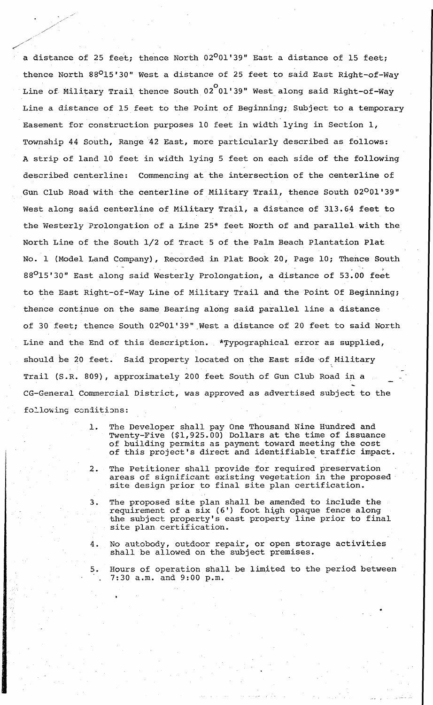a distance of 25 feet; thence North 02<sup>0</sup>01'39" East a distance of 15 feet; thence North 88<sup>0</sup>15'30" West a distance of 25 feet to said East Right-of-Way Line of Military Trail thence South 02 $^\mathrm{O}$ 01'39" West along said Right-of-Way Line a distance of 15 feet to the Point of Beginning; Subject to a temporary Easement for construction purposes 10 feet in width lying in Section 1, Township 44 South, Range 42 East, more particularly described as follows: A strip of land 10 feet in width lying 5 feet on each side of the following described centerline: Commencing at the intersection of the centerline of Gun Club Road with the centerline of Military Trail, thence South 02001'39" West along said centerline of Military Trail, a distance of 313.64 feet to the Westerly Prolongation of a Line 25\* feet North of and parallel with the North Line of the South 1/2 of Tract 5 of the Palm Beach Plantation Plat No.1 (Model Land Company), Recorded in Plat Book 20, Page 10; Thence South 88<sup>0</sup>15'30" East along said Westerly Prolongation, a distance of 53.00 feet to the East Right-of-Way Line of Military Trail and the Point Of Beginning; thence continue on the same Bearing along said parallel line a distance of 30 feet; thence South 02001'39" West a distance of 20 feet to said North Line and the End of this description. \*Typographical error as supplied, should be 20 feet. Said property located on the East side of Military Trail (S.R. 809), approximately 200 feet South of Gun Club Road in a CG-General Commercial District, was approved as advertised subject to the following conditions:

/"

/

- 1. The Developer shall pay One Thousand Nine Hundred and Twenty-Five (\$1,925.00) Dollars at the time of issuance of building permits as payment toward meeting the cost of this project's direct and identifiable traffic impact.
- 2. The Petitioner shall provide for required preservation areas of significant existing vegetation in the proposed site design prior to final site plan certification.

3. The proposed site plan shall be amended to include the requirement of a six  $(6')$  foot high opaque fence along the subject property's east property line prior to final site plan certification.

4. No autobody, outdoor repair, or open storage activities shall be allowed on the subject premises.

5. Hours of operation shall be limited to the period between 7:30 a.m. and 9:00 p.m.

•